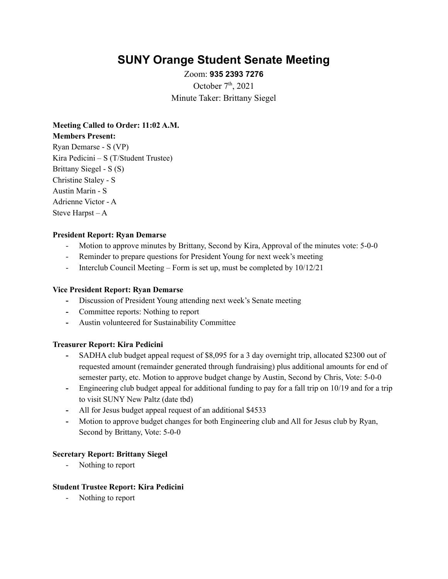# **SUNY Orange Student Senate Meeting**

Zoom: **935 2393 7276** October  $7<sup>th</sup>$ , 2021 Minute Taker: Brittany Siegel

**Meeting Called to Order: 11:02 A.M. Members Present:** Ryan Demarse - S (VP) Kira Pedicini – S (T/Student Trustee) Brittany Siegel - S (S) Christine Staley - S Austin Marin - S Adrienne Victor - A Steve Harpst – A

# **President Report: Ryan Demarse**

- Motion to approve minutes by Brittany, Second by Kira, Approval of the minutes vote: 5-0-0
- Reminder to prepare questions for President Young for next week's meeting
- Interclub Council Meeting Form is set up, must be completed by  $10/12/21$

# **Vice President Report: Ryan Demarse**

- **-** Discussion of President Young attending next week's Senate meeting
- **-** Committee reports: Nothing to report
- **-** Austin volunteered for Sustainability Committee

### **Treasurer Report: Kira Pedicini**

- **-** SADHA club budget appeal request of \$8,095 for a 3 day overnight trip, allocated \$2300 out of requested amount (remainder generated through fundraising) plus additional amounts for end of semester party, etc. Motion to approve budget change by Austin, Second by Chris, Vote: 5-0-0
- **-** Engineering club budget appeal for additional funding to pay for a fall trip on 10/19 and for a trip to visit SUNY New Paltz (date tbd)
- **-** All for Jesus budget appeal request of an additional \$4533
- **-** Motion to approve budget changes for both Engineering club and All for Jesus club by Ryan, Second by Brittany, Vote: 5-0-0

# **Secretary Report: Brittany Siegel**

- Nothing to report

## **Student Trustee Report: Kira Pedicini**

- Nothing to report